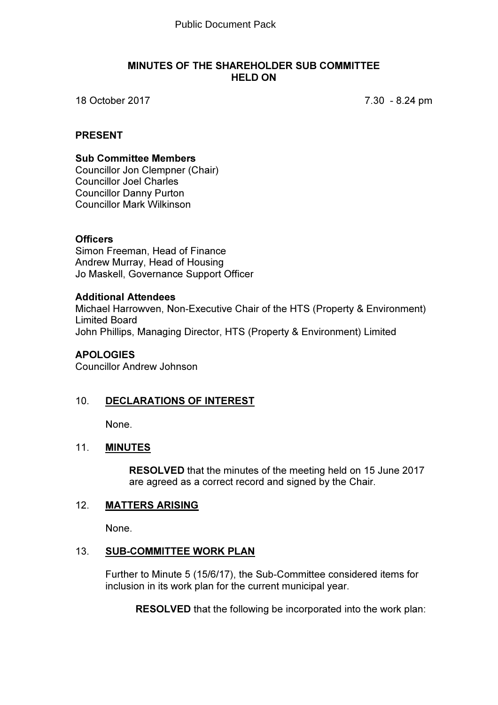#### MINUTES OF THE SHAREHOLDER SUB COMMITTEE HELD ON

18 October 2017 7.30 - 8.24 pm

## PRESENT

#### Sub Committee Members

Councillor Jon Clempner (Chair) Councillor Joel Charles Councillor Danny Purton Councillor Mark Wilkinson

## **Officers**

Simon Freeman, Head of Finance Andrew Murray, Head of Housing Jo Maskell, Governance Support Officer

#### Additional Attendees

Michael Harrowven, Non-Executive Chair of the HTS (Property & Environment) Limited Board John Phillips, Managing Director, HTS (Property & Environment) Limited

## **APOLOGIES**

Councillor Andrew Johnson

## 10. DECLARATIONS OF INTEREST

None.

## 11. **MINUTES**

RESOLVED that the minutes of the meeting held on 15 June 2017 are agreed as a correct record and signed by the Chair.

## 12. MATTERS ARISING

None.

## 13. SUB-COMMITTEE WORK PLAN

Further to Minute 5 (15/6/17), the Sub-Committee considered items for inclusion in its work plan for the current municipal year.

RESOLVED that the following be incorporated into the work plan: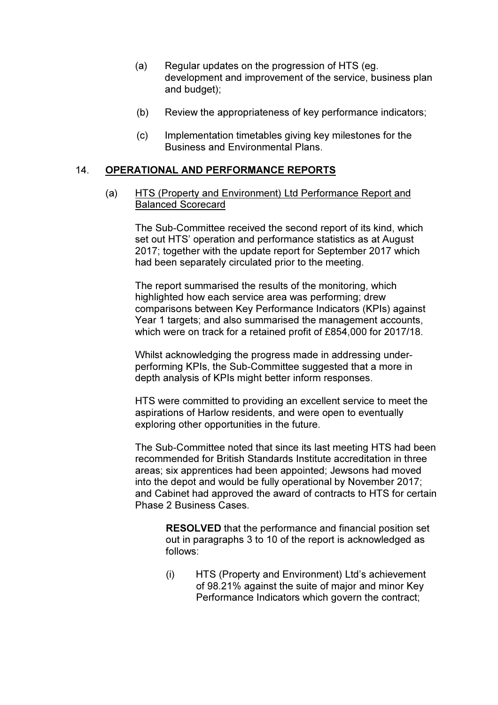- (a) Regular updates on the progression of HTS (eg. development and improvement of the service, business plan and budget);
- (b) Review the appropriateness of key performance indicators;
- (c) Implementation timetables giving key milestones for the Business and Environmental Plans.

#### 14. OPERATIONAL AND PERFORMANCE REPORTS

(a) HTS (Property and Environment) Ltd Performance Report and Balanced Scorecard

The Sub-Committee received the second report of its kind, which set out HTS' operation and performance statistics as at August 2017; together with the update report for September 2017 which had been separately circulated prior to the meeting.

The report summarised the results of the monitoring, which highlighted how each service area was performing; drew comparisons between Key Performance Indicators (KPIs) against Year 1 targets; and also summarised the management accounts, which were on track for a retained profit of £854,000 for 2017/18.

Whilst acknowledging the progress made in addressing underperforming KPIs, the Sub-Committee suggested that a more in depth analysis of KPIs might better inform responses.

HTS were committed to providing an excellent service to meet the aspirations of Harlow residents, and were open to eventually exploring other opportunities in the future.

The Sub-Committee noted that since its last meeting HTS had been recommended for British Standards Institute accreditation in three areas; six apprentices had been appointed; Jewsons had moved into the depot and would be fully operational by November 2017; and Cabinet had approved the award of contracts to HTS for certain Phase 2 Business Cases.

> RESOLVED that the performance and financial position set out in paragraphs 3 to 10 of the report is acknowledged as follows:

(i) HTS (Property and Environment) Ltd's achievement of 98.21% against the suite of major and minor Key Performance Indicators which govern the contract;